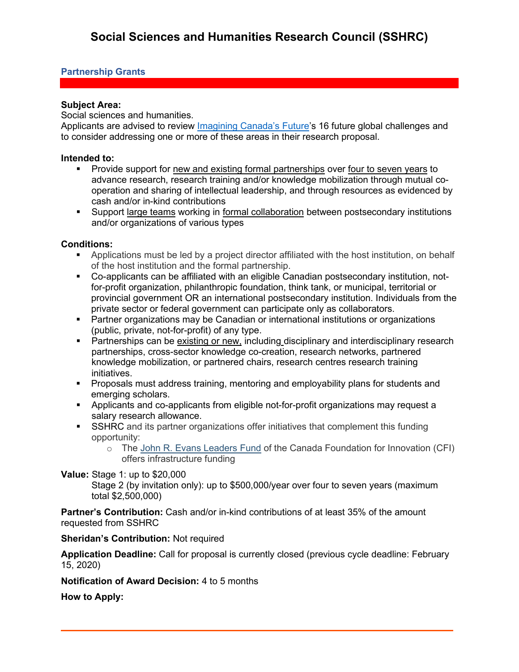## **Partnership Grants**

## **Subject Area:**

Social sciences and humanities.

Applicants are advised to review *Imagining Canada's Future's* 16 future global challenges and to consider addressing one or more of these areas in their research proposal.

### **Intended to:**

- **Provide support for new and existing formal partnerships over four to seven years to** advance research, research training and/or knowledge mobilization through mutual cooperation and sharing of intellectual leadership, and through resources as evidenced by cash and/or in-kind contributions
- Support large teams working in formal collaboration between postsecondary institutions and/or organizations of various types

## **Conditions:**

- Applications must be led by a project director affiliated with the host institution, on behalf of the host institution and the formal partnership.
- Co-applicants can be affiliated with an eligible Canadian postsecondary institution, notfor-profit organization, philanthropic foundation, think tank, or municipal, territorial or provincial government OR an international postsecondary institution. Individuals from the private sector or federal government can participate only as collaborators.
- Partner organizations may be Canadian or international institutions or organizations (public, private, not-for-profit) of any type.
- **Partnerships can be existing or new, including disciplinary and interdisciplinary research** partnerships, cross-sector knowledge co-creation, research networks, partnered knowledge mobilization, or partnered chairs, research centres research training initiatives.
- Proposals must address training, mentoring and employability plans for students and emerging scholars.
- Applicants and co-applicants from eligible not-for-profit organizations may request a salary research allowance.
- **SSHRC** and its partner organizations offer initiatives that complement this funding opportunity:
	- o The [John R. Evans Leaders Fund](https://www.innovation.ca/en/OurFunds/CFIFunds/john-r-evans-leaders-fund) of the Canada Foundation for Innovation (CFI) offers infrastructure funding

#### **Value:** Stage 1: up to \$20,000

Stage 2 (by invitation only): up to \$500,000/year over four to seven years (maximum total \$2,500,000)

**Partner's Contribution:** Cash and/or in-kind contributions of at least 35% of the amount requested from SSHRC

#### **Sheridan's Contribution:** Not required

**Application Deadline:** Call for proposal is currently closed (previous cycle deadline: February 15, 2020)

**Notification of Award Decision:** 4 to 5 months

**How to Apply:**